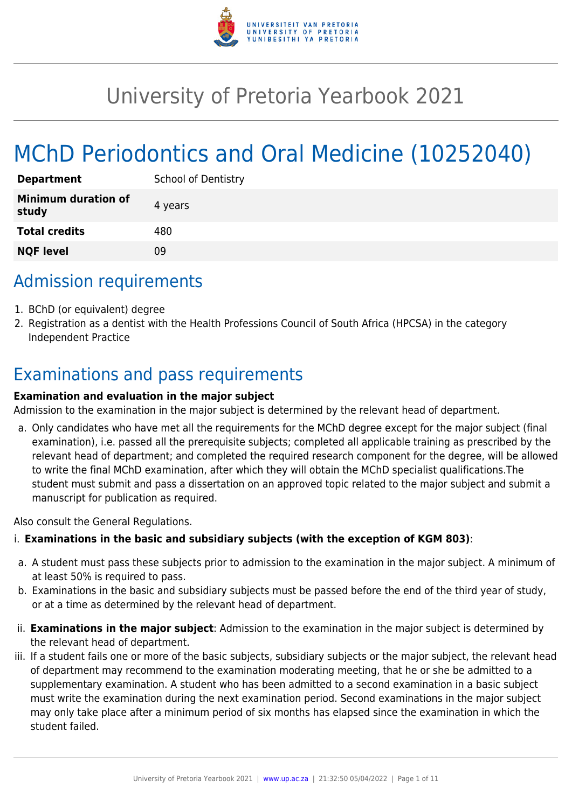

# University of Pretoria Yearbook 2021

# MChD Periodontics and Oral Medicine (10252040)

| <b>Department</b>                   | <b>School of Dentistry</b> |
|-------------------------------------|----------------------------|
| <b>Minimum duration of</b><br>study | 4 years                    |
| <b>Total credits</b>                | 480                        |
| <b>NQF level</b>                    | ΩÓ                         |

# Admission requirements

- 1. BChD (or equivalent) degree
- 2. Registration as a dentist with the Health Professions Council of South Africa (HPCSA) in the category Independent Practice

# Examinations and pass requirements

#### **Examination and evaluation in the major subject**

Admission to the examination in the major subject is determined by the relevant head of department.

a. Only candidates who have met all the requirements for the MChD degree except for the major subject (final examination), i.e. passed all the prerequisite subjects; completed all applicable training as prescribed by the relevant head of department; and completed the required research component for the degree, will be allowed to write the final MChD examination, after which they will obtain the MChD specialist qualifications.The student must submit and pass a dissertation on an approved topic related to the major subject and submit a manuscript for publication as required.

Also consult the General Regulations.

#### i. **Examinations in the basic and subsidiary subjects (with the exception of KGM 803)**:

- a. A student must pass these subjects prior to admission to the examination in the major subject. A minimum of at least 50% is required to pass.
- b. Examinations in the basic and subsidiary subjects must be passed before the end of the third year of study, or at a time as determined by the relevant head of department.
- ii. **Examinations in the major subject**: Admission to the examination in the major subject is determined by the relevant head of department.
- iii. If a student fails one or more of the basic subjects, subsidiary subjects or the major subject, the relevant head of department may recommend to the examination moderating meeting, that he or she be admitted to a supplementary examination. A student who has been admitted to a second examination in a basic subject must write the examination during the next examination period. Second examinations in the major subject may only take place after a minimum period of six months has elapsed since the examination in which the student failed.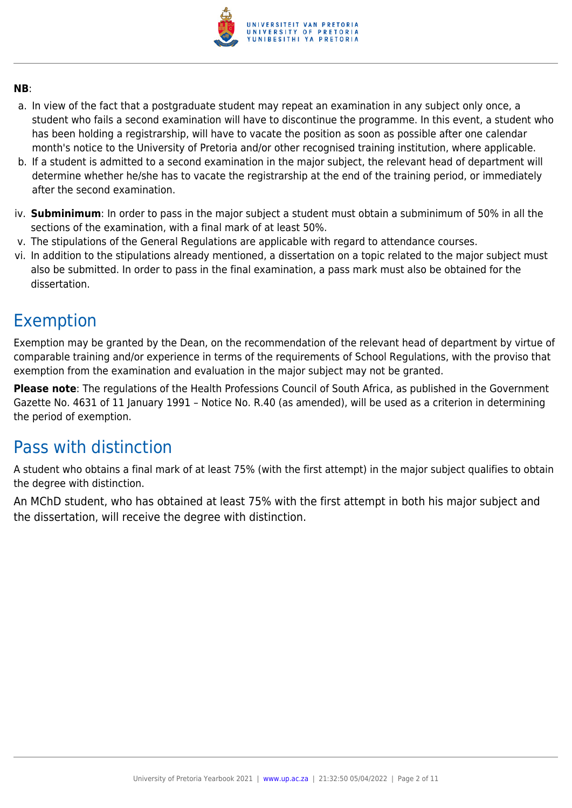

#### **NB**:

- a. In view of the fact that a postgraduate student may repeat an examination in any subject only once, a student who fails a second examination will have to discontinue the programme. In this event, a student who has been holding a registrarship, will have to vacate the position as soon as possible after one calendar month's notice to the University of Pretoria and/or other recognised training institution, where applicable.
- b. If a student is admitted to a second examination in the major subject, the relevant head of department will determine whether he/she has to vacate the registrarship at the end of the training period, or immediately after the second examination.
- iv. **Subminimum**: In order to pass in the major subject a student must obtain a subminimum of 50% in all the sections of the examination, with a final mark of at least 50%.
- v. The stipulations of the General Regulations are applicable with regard to attendance courses.
- vi. In addition to the stipulations already mentioned, a dissertation on a topic related to the major subject must also be submitted. In order to pass in the final examination, a pass mark must also be obtained for the dissertation.

# Exemption

Exemption may be granted by the Dean, on the recommendation of the relevant head of department by virtue of comparable training and/or experience in terms of the requirements of School Regulations, with the proviso that exemption from the examination and evaluation in the major subject may not be granted.

**Please note**: The regulations of the Health Professions Council of South Africa, as published in the Government Gazette No. 4631 of 11 January 1991 – Notice No. R.40 (as amended), will be used as a criterion in determining the period of exemption.

# Pass with distinction

A student who obtains a final mark of at least 75% (with the first attempt) in the major subject qualifies to obtain the degree with distinction.

An MChD student, who has obtained at least 75% with the first attempt in both his major subject and the dissertation, will receive the degree with distinction.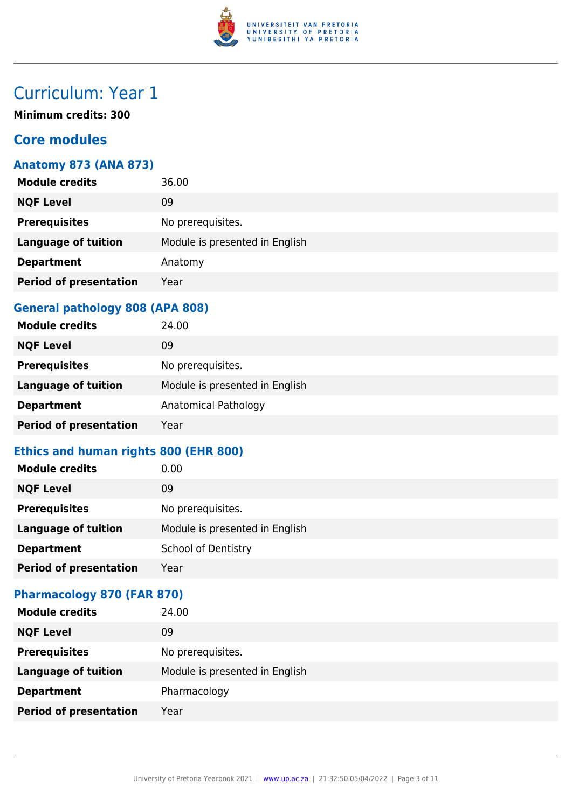

# Curriculum: Year 1

**Minimum credits: 300**

### **Core modules**

#### **Anatomy 873 (ANA 873)**

| <b>Module credits</b>         | 36.00                          |
|-------------------------------|--------------------------------|
| <b>NQF Level</b>              | 09                             |
| <b>Prerequisites</b>          | No prerequisites.              |
| <b>Language of tuition</b>    | Module is presented in English |
| <b>Department</b>             | Anatomy                        |
| <b>Period of presentation</b> | Year                           |
|                               |                                |

#### **General pathology 808 (APA 808)**

| <b>Module credits</b>         | 24.00                          |
|-------------------------------|--------------------------------|
| <b>NQF Level</b>              | 09                             |
| <b>Prerequisites</b>          | No prerequisites.              |
| <b>Language of tuition</b>    | Module is presented in English |
| <b>Department</b>             | Anatomical Pathology           |
| <b>Period of presentation</b> | Year                           |

### **Ethics and human rights 800 (EHR 800)**

| <b>Module credits</b>         | 0.00                           |
|-------------------------------|--------------------------------|
| <b>NQF Level</b>              | 09                             |
| <b>Prerequisites</b>          | No prerequisites.              |
| <b>Language of tuition</b>    | Module is presented in English |
| <b>Department</b>             | <b>School of Dentistry</b>     |
| <b>Period of presentation</b> | Year                           |

#### **Pharmacology 870 (FAR 870)**

| <b>Module credits</b>         | 24.00                          |
|-------------------------------|--------------------------------|
| <b>NQF Level</b>              | 09                             |
| <b>Prerequisites</b>          | No prerequisites.              |
| <b>Language of tuition</b>    | Module is presented in English |
| <b>Department</b>             | Pharmacology                   |
| <b>Period of presentation</b> | Year                           |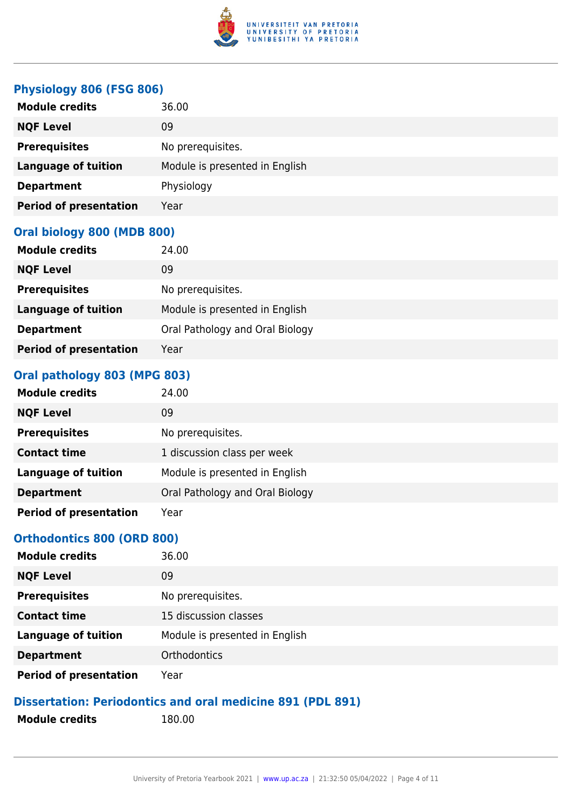

#### **Physiology 806 (FSG 806)**

| <b>Module credits</b>         | 36.00                          |
|-------------------------------|--------------------------------|
| <b>NQF Level</b>              | 09                             |
| <b>Prerequisites</b>          | No prerequisites.              |
| <b>Language of tuition</b>    | Module is presented in English |
| <b>Department</b>             | Physiology                     |
| <b>Period of presentation</b> | Year                           |

#### **Oral biology 800 (MDB 800)**

| <b>Module credits</b>         | 24.00                           |
|-------------------------------|---------------------------------|
| <b>NQF Level</b>              | 09                              |
| <b>Prerequisites</b>          | No prerequisites.               |
| <b>Language of tuition</b>    | Module is presented in English  |
| <b>Department</b>             | Oral Pathology and Oral Biology |
| <b>Period of presentation</b> | Year                            |

#### **Oral pathology 803 (MPG 803)**

| <b>Module credits</b>         | 24.00                           |
|-------------------------------|---------------------------------|
| <b>NQF Level</b>              | 09                              |
| <b>Prerequisites</b>          | No prerequisites.               |
| <b>Contact time</b>           | 1 discussion class per week     |
| <b>Language of tuition</b>    | Module is presented in English  |
| <b>Department</b>             | Oral Pathology and Oral Biology |
| <b>Period of presentation</b> | Year                            |

#### **Orthodontics 800 (ORD 800)**

| <b>Module credits</b>         | 36.00                          |
|-------------------------------|--------------------------------|
| <b>NQF Level</b>              | 09                             |
| <b>Prerequisites</b>          | No prerequisites.              |
| <b>Contact time</b>           | 15 discussion classes          |
| <b>Language of tuition</b>    | Module is presented in English |
| <b>Department</b>             | Orthodontics                   |
| <b>Period of presentation</b> | Year                           |

### **Dissertation: Periodontics and oral medicine 891 (PDL 891)**

- **Module credits** 180.00
-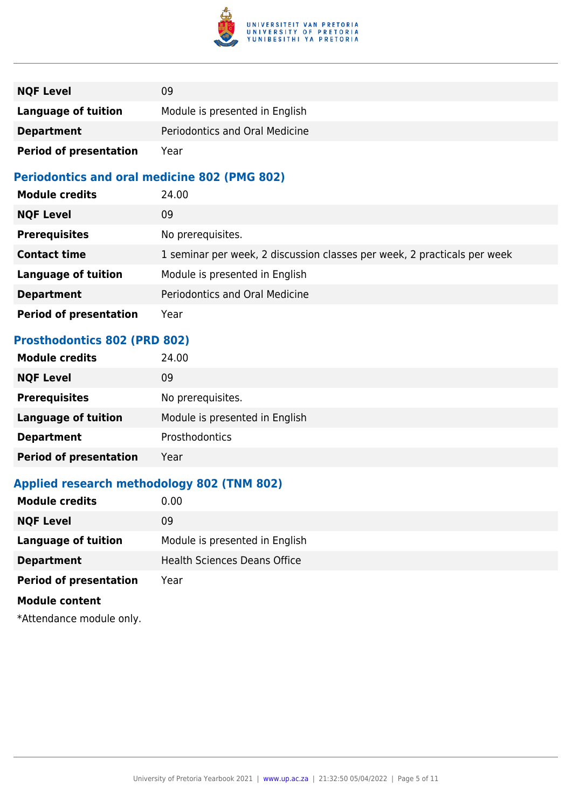

| <b>NQF Level</b>              | 09                             |
|-------------------------------|--------------------------------|
| <b>Language of tuition</b>    | Module is presented in English |
| <b>Department</b>             | Periodontics and Oral Medicine |
| <b>Period of presentation</b> | Year                           |

#### **Periodontics and oral medicine 802 (PMG 802)**

| <b>Module credits</b>         | 24.00                                                                    |
|-------------------------------|--------------------------------------------------------------------------|
| <b>NQF Level</b>              | 09                                                                       |
| <b>Prerequisites</b>          | No prerequisites.                                                        |
| <b>Contact time</b>           | 1 seminar per week, 2 discussion classes per week, 2 practicals per week |
| <b>Language of tuition</b>    | Module is presented in English                                           |
| <b>Department</b>             | Periodontics and Oral Medicine                                           |
| <b>Period of presentation</b> | Year                                                                     |

#### **Prosthodontics 802 (PRD 802)**

| <b>Module credits</b>         | 24.00                          |
|-------------------------------|--------------------------------|
| <b>NQF Level</b>              | 09                             |
| <b>Prerequisites</b>          | No prerequisites.              |
| <b>Language of tuition</b>    | Module is presented in English |
| <b>Department</b>             | Prosthodontics                 |
| <b>Period of presentation</b> | Year                           |

## **Applied research methodology 802 (TNM 802)**

| <b>Module credits</b>         | 0.00                                |
|-------------------------------|-------------------------------------|
| <b>NQF Level</b>              | 09                                  |
| Language of tuition           | Module is presented in English      |
| <b>Department</b>             | <b>Health Sciences Deans Office</b> |
| <b>Period of presentation</b> | Year                                |
| <b>Module content</b>         |                                     |
|                               |                                     |

\*Attendance module only.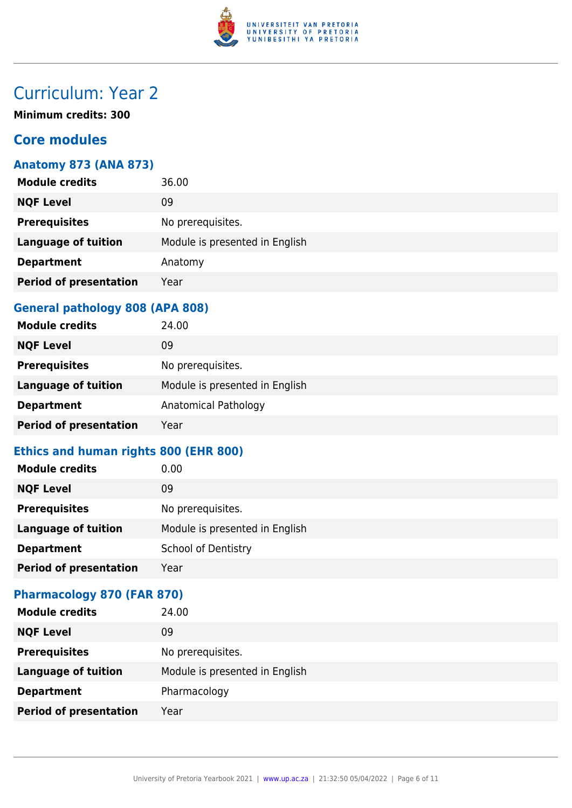

# Curriculum: Year 2

**Minimum credits: 300**

### **Core modules**

#### **Anatomy 873 (ANA 873)**

| <b>Module credits</b>         | 36.00                          |
|-------------------------------|--------------------------------|
| <b>NQF Level</b>              | 09                             |
| <b>Prerequisites</b>          | No prerequisites.              |
| <b>Language of tuition</b>    | Module is presented in English |
| <b>Department</b>             | Anatomy                        |
| <b>Period of presentation</b> | Year                           |
|                               |                                |

#### **General pathology 808 (APA 808)**

| <b>Module credits</b>         | 24.00                          |
|-------------------------------|--------------------------------|
| <b>NQF Level</b>              | 09                             |
| <b>Prerequisites</b>          | No prerequisites.              |
| <b>Language of tuition</b>    | Module is presented in English |
| <b>Department</b>             | Anatomical Pathology           |
| <b>Period of presentation</b> | Year                           |

### **Ethics and human rights 800 (EHR 800)**

| <b>Module credits</b>         | 0.00                           |
|-------------------------------|--------------------------------|
| <b>NQF Level</b>              | 09                             |
| <b>Prerequisites</b>          | No prerequisites.              |
| <b>Language of tuition</b>    | Module is presented in English |
| <b>Department</b>             | <b>School of Dentistry</b>     |
| <b>Period of presentation</b> | Year                           |

#### **Pharmacology 870 (FAR 870)**

| <b>Module credits</b>         | 24.00                          |
|-------------------------------|--------------------------------|
| <b>NQF Level</b>              | 09                             |
| <b>Prerequisites</b>          | No prerequisites.              |
| <b>Language of tuition</b>    | Module is presented in English |
| <b>Department</b>             | Pharmacology                   |
| <b>Period of presentation</b> | Year                           |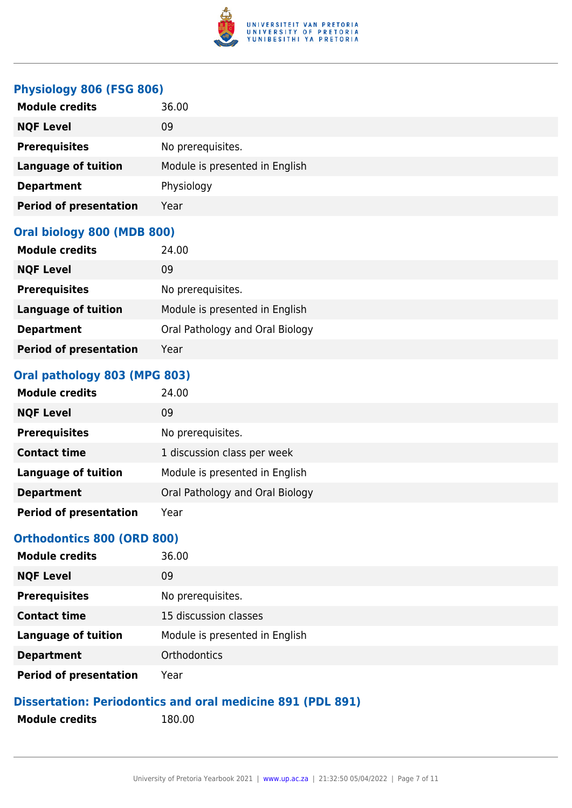

#### **Physiology 806 (FSG 806)**

| <b>Module credits</b>         | 36.00                          |
|-------------------------------|--------------------------------|
| <b>NQF Level</b>              | 09                             |
| <b>Prerequisites</b>          | No prerequisites.              |
| <b>Language of tuition</b>    | Module is presented in English |
| <b>Department</b>             | Physiology                     |
| <b>Period of presentation</b> | Year                           |

#### **Oral biology 800 (MDB 800)**

| <b>Module credits</b>         | 24.00                           |
|-------------------------------|---------------------------------|
| <b>NQF Level</b>              | 09                              |
| <b>Prerequisites</b>          | No prerequisites.               |
| <b>Language of tuition</b>    | Module is presented in English  |
| <b>Department</b>             | Oral Pathology and Oral Biology |
| <b>Period of presentation</b> | Year                            |

#### **Oral pathology 803 (MPG 803)**

| <b>Module credits</b>         | 24.00                           |
|-------------------------------|---------------------------------|
| <b>NQF Level</b>              | 09                              |
| <b>Prerequisites</b>          | No prerequisites.               |
| <b>Contact time</b>           | 1 discussion class per week     |
| <b>Language of tuition</b>    | Module is presented in English  |
| <b>Department</b>             | Oral Pathology and Oral Biology |
| <b>Period of presentation</b> | Year                            |

#### **Orthodontics 800 (ORD 800)**

| <b>Module credits</b>         | 36.00                          |
|-------------------------------|--------------------------------|
| <b>NQF Level</b>              | 09                             |
| <b>Prerequisites</b>          | No prerequisites.              |
| <b>Contact time</b>           | 15 discussion classes          |
| <b>Language of tuition</b>    | Module is presented in English |
| <b>Department</b>             | Orthodontics                   |
| <b>Period of presentation</b> | Year                           |

### **Dissertation: Periodontics and oral medicine 891 (PDL 891)**

- **Module credits** 180.00
-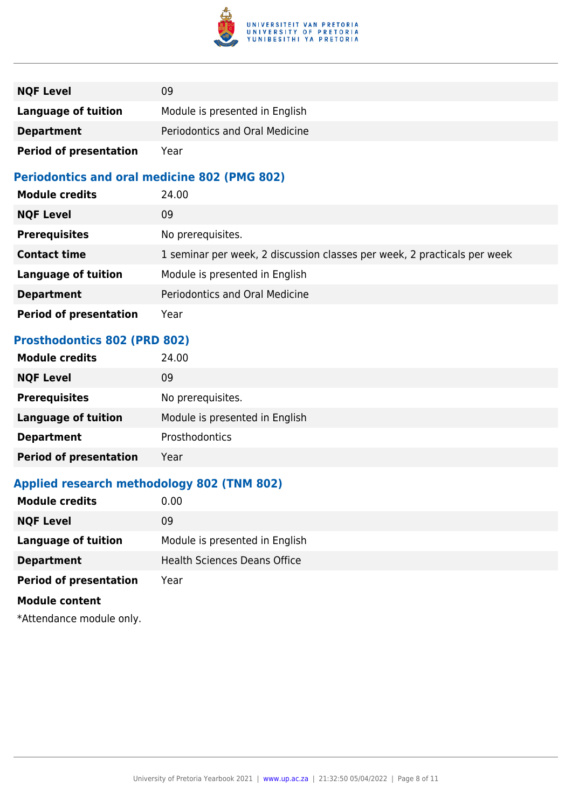

| <b>NQF Level</b>              | 09                             |
|-------------------------------|--------------------------------|
| <b>Language of tuition</b>    | Module is presented in English |
| <b>Department</b>             | Periodontics and Oral Medicine |
| <b>Period of presentation</b> | Year                           |

#### **Periodontics and oral medicine 802 (PMG 802)**

| <b>Module credits</b>         | 24.00                                                                    |
|-------------------------------|--------------------------------------------------------------------------|
| <b>NQF Level</b>              | 09                                                                       |
| <b>Prerequisites</b>          | No prerequisites.                                                        |
| <b>Contact time</b>           | 1 seminar per week, 2 discussion classes per week, 2 practicals per week |
| <b>Language of tuition</b>    | Module is presented in English                                           |
| <b>Department</b>             | Periodontics and Oral Medicine                                           |
| <b>Period of presentation</b> | Year                                                                     |

#### **Prosthodontics 802 (PRD 802)**

| <b>Module credits</b>         | 24.00                          |
|-------------------------------|--------------------------------|
| <b>NQF Level</b>              | 09                             |
| <b>Prerequisites</b>          | No prerequisites.              |
| <b>Language of tuition</b>    | Module is presented in English |
| <b>Department</b>             | Prosthodontics                 |
| <b>Period of presentation</b> | Year                           |

## **Applied research methodology 802 (TNM 802)**

| <b>Module credits</b>         | 0.00                                |
|-------------------------------|-------------------------------------|
| <b>NQF Level</b>              | 09                                  |
| Language of tuition           | Module is presented in English      |
| <b>Department</b>             | <b>Health Sciences Deans Office</b> |
| <b>Period of presentation</b> | Year                                |
| <b>Module content</b>         |                                     |
|                               |                                     |

\*Attendance module only.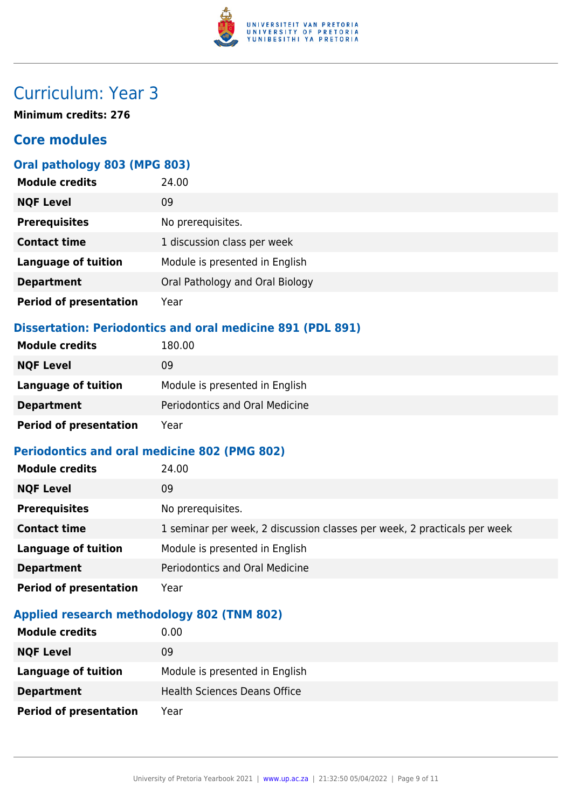

# Curriculum: Year 3

**Minimum credits: 276**

### **Core modules**

#### **Oral pathology 803 (MPG 803)**

| <b>Module credits</b>         | 24.00                           |
|-------------------------------|---------------------------------|
| <b>NQF Level</b>              | 09                              |
| <b>Prerequisites</b>          | No prerequisites.               |
| <b>Contact time</b>           | 1 discussion class per week     |
| <b>Language of tuition</b>    | Module is presented in English  |
| <b>Department</b>             | Oral Pathology and Oral Biology |
| <b>Period of presentation</b> | Year                            |

#### **Dissertation: Periodontics and oral medicine 891 (PDL 891)**

| <b>Module credits</b>         | 180.00                         |
|-------------------------------|--------------------------------|
| <b>NQF Level</b>              | 09                             |
| Language of tuition           | Module is presented in English |
| <b>Department</b>             | Periodontics and Oral Medicine |
| <b>Period of presentation</b> | Year                           |

#### **Periodontics and oral medicine 802 (PMG 802)**

| <b>Module credits</b>         | 24.00                                                                    |
|-------------------------------|--------------------------------------------------------------------------|
| <b>NQF Level</b>              | 09                                                                       |
| <b>Prerequisites</b>          | No prerequisites.                                                        |
| <b>Contact time</b>           | 1 seminar per week, 2 discussion classes per week, 2 practicals per week |
| <b>Language of tuition</b>    | Module is presented in English                                           |
| <b>Department</b>             | Periodontics and Oral Medicine                                           |
| <b>Period of presentation</b> | Year                                                                     |

#### **Applied research methodology 802 (TNM 802)**

| <b>Module credits</b>         | 0.00                                |
|-------------------------------|-------------------------------------|
| <b>NQF Level</b>              | 09                                  |
| Language of tuition           | Module is presented in English      |
| <b>Department</b>             | <b>Health Sciences Deans Office</b> |
| <b>Period of presentation</b> | Year                                |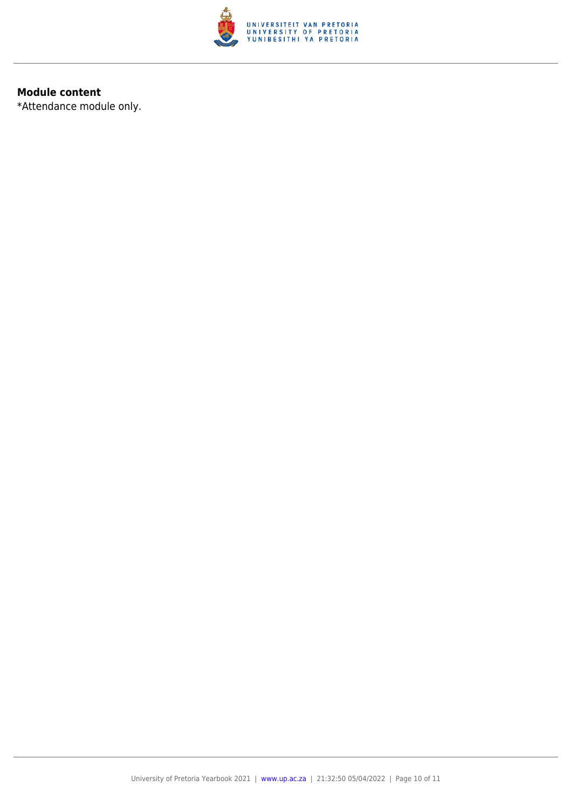

#### **Module content**

\*Attendance module only.